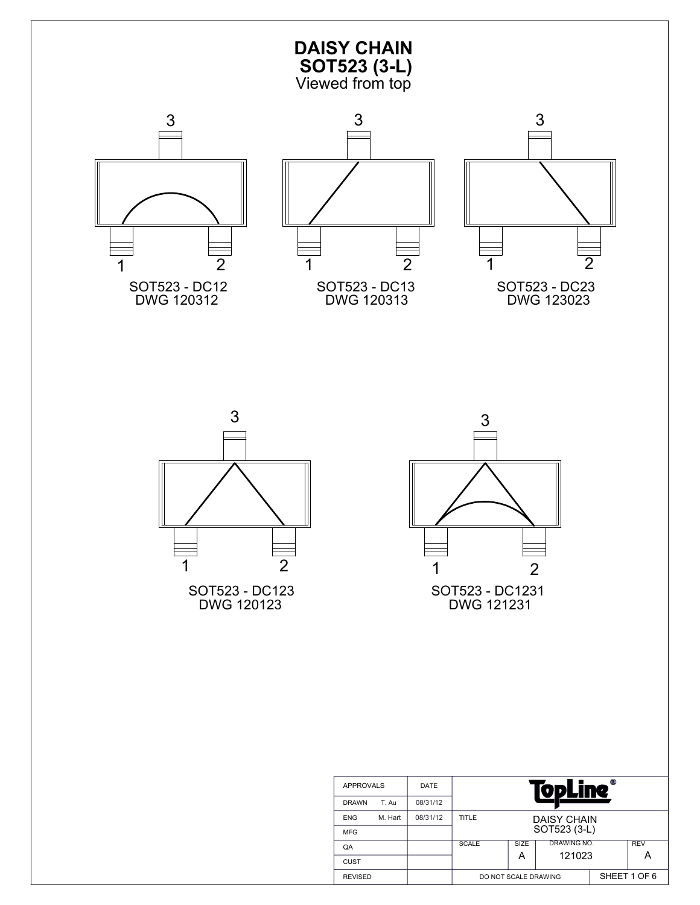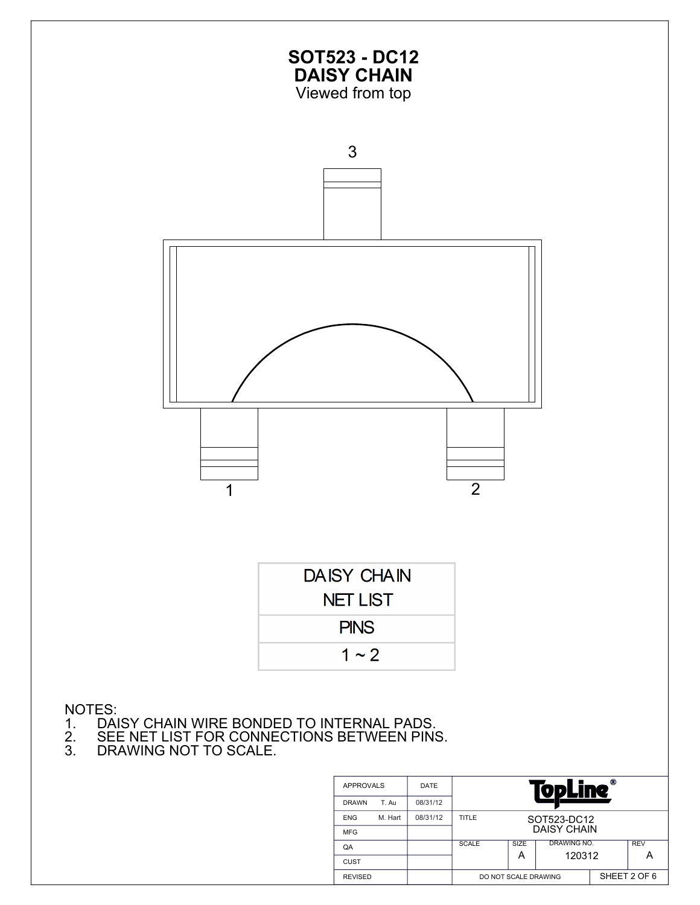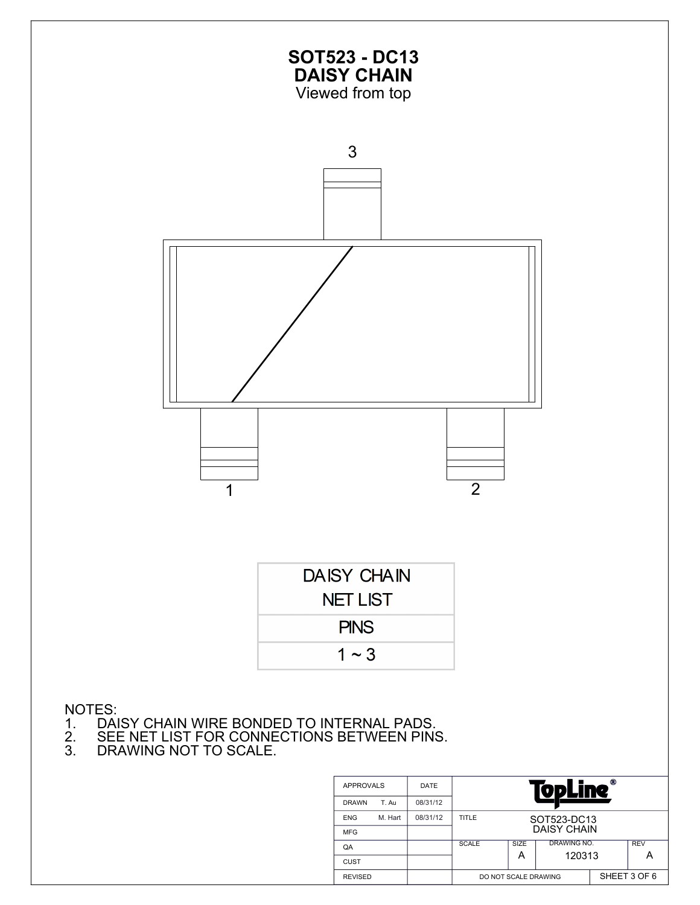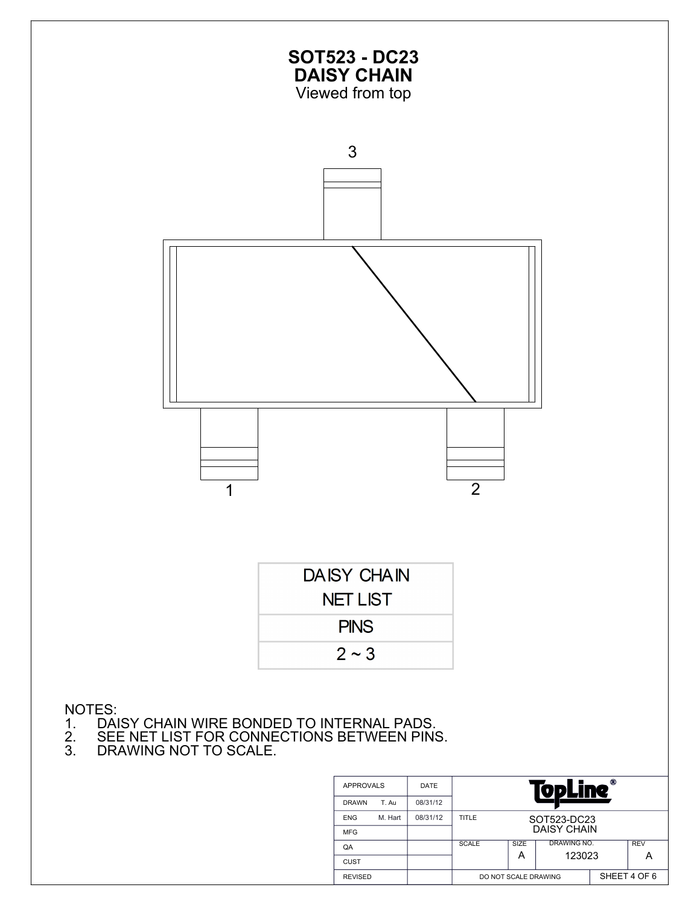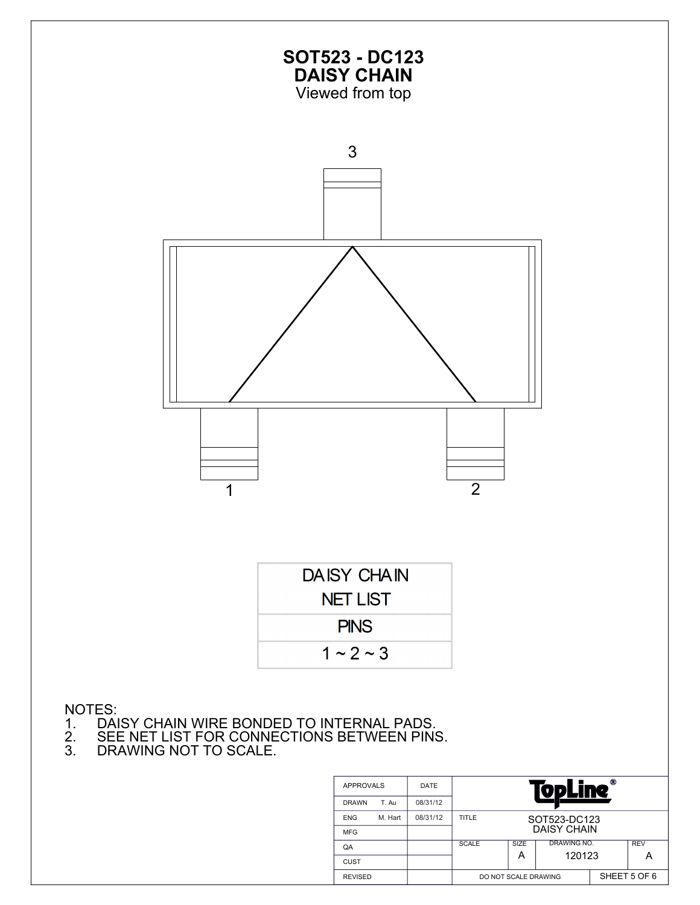